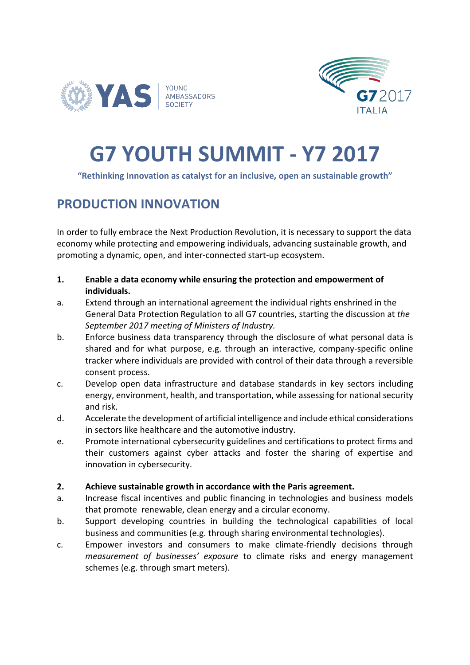



# **G7 YOUTH SUMMIT - Y7 2017**

#### **"Rethinking Innovation as catalyst for an inclusive, open an sustainable growth"**

### **PRODUCTION INNOVATION**

In order to fully embrace the Next Production Revolution, it is necessary to support the data economy while protecting and empowering individuals, advancing sustainable growth, and promoting a dynamic, open, and inter-connected start-up ecosystem.

- **1. Enable a data economy while ensuring the protection and empowerment of individuals.**
- a. Extend through an international agreement the individual rights enshrined in the General Data Protection Regulation to all G7 countries, starting the discussion at *the September 2017 meeting of Ministers of Industry.*
- b. Enforce business data transparency through the disclosure of what personal data is shared and for what purpose, e.g. through an interactive, company-specific online tracker where individuals are provided with control of their data through a reversible consent process.
- c. Develop open data infrastructure and database standards in key sectors including energy, environment, health, and transportation, while assessing for national security and risk.
- d. Accelerate the development of artificial intelligence and include ethical considerations in sectors like healthcare and the automotive industry.
- e. Promote international cybersecurity guidelines and certifications to protect firms and their customers against cyber attacks and foster the sharing of expertise and innovation in cybersecurity.
- **2. Achieve sustainable growth in accordance with the Paris agreement.**
- a. Increase fiscal incentives and public financing in technologies and business models that promote renewable, clean energy and a circular economy.
- b. Support developing countries in building the technological capabilities of local business and communities (e.g. through sharing environmental technologies).
- c. Empower investors and consumers to make climate-friendly decisions through *measurement of businesses' exposure* to climate risks and energy management schemes (e.g. through smart meters).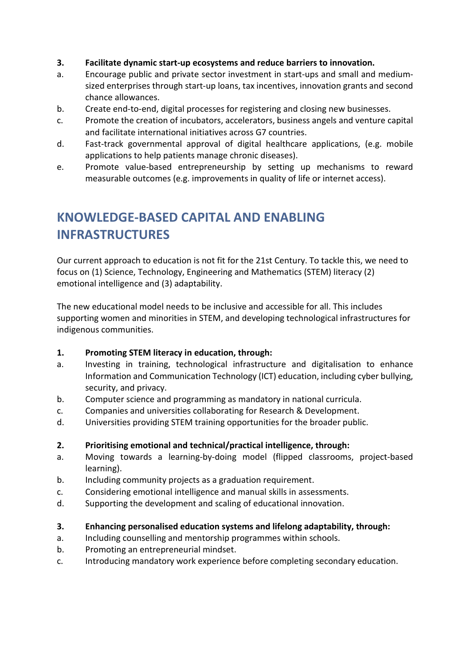- **3. Facilitate dynamic start-up ecosystems and reduce barriers to innovation.**
- a. Encourage public and private sector investment in start-ups and small and mediumsized enterprises through start-up loans, tax incentives, innovation grants and second chance allowances.
- b. Create end-to-end, digital processes for registering and closing new businesses.
- c. Promote the creation of incubators, accelerators, business angels and venture capital and facilitate international initiatives across G7 countries.
- d. Fast-track governmental approval of digital healthcare applications, (e.g. mobile applications to help patients manage chronic diseases).
- e. Promote value-based entrepreneurship by setting up mechanisms to reward measurable outcomes (e.g. improvements in quality of life or internet access).

# **KNOWLEDGE-BASED CAPITAL AND ENABLING INFRASTRUCTURES**

Our current approach to education is not fit for the 21st Century. To tackle this, we need to focus on (1) Science, Technology, Engineering and Mathematics (STEM) literacy (2) emotional intelligence and (3) adaptability.

The new educational model needs to be inclusive and accessible for all. This includes supporting women and minorities in STEM, and developing technological infrastructures for indigenous communities.

#### **1. Promoting STEM literacy in education, through:**

- a. Investing in training, technological infrastructure and digitalisation to enhance Information and Communication Technology (ICT) education, including cyber bullying, security, and privacy.
- b. Computer science and programming as mandatory in national curricula.
- c. Companies and universities collaborating for Research & Development.
- d. Universities providing STEM training opportunities for the broader public.

#### **2. Prioritising emotional and technical/practical intelligence, through:**

- a. Moving towards a learning-by-doing model (flipped classrooms, project-based learning).
- b. Including community projects as a graduation requirement.
- c. Considering emotional intelligence and manual skills in assessments.
- d. Supporting the development and scaling of educational innovation.
- **3. Enhancing personalised education systems and lifelong adaptability, through:**
- a. Including counselling and mentorship programmes within schools.
- b. Promoting an entrepreneurial mindset.
- c. Introducing mandatory work experience before completing secondary education.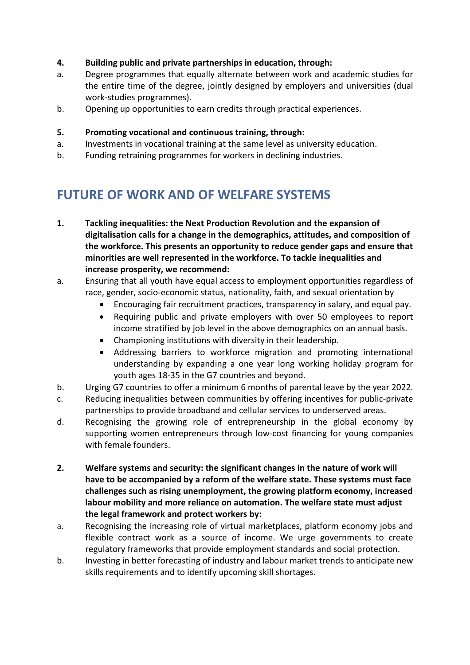#### **4. Building public and private partnerships in education, through:**

- a. Degree programmes that equally alternate between work and academic studies for the entire time of the degree, jointly designed by employers and universities (dual work-studies programmes).
- b. Opening up opportunities to earn credits through practical experiences.

#### **5. Promoting vocational and continuous training, through:**

- a. Investments in vocational training at the same level as university education.
- b. Funding retraining programmes for workers in declining industries.

## **FUTURE OF WORK AND OF WELFARE SYSTEMS**

- **1. Tackling inequalities: the Next Production Revolution and the expansion of digitalisation calls for a change in the demographics, attitudes, and composition of the workforce. This presents an opportunity to reduce gender gaps and ensure that minorities are well represented in the workforce. To tackle inequalities and increase prosperity, we recommend:**
- a. Ensuring that all youth have equal access to employment opportunities regardless of race, gender, socio-economic status, nationality, faith, and sexual orientation by
	- Encouraging fair recruitment practices, transparency in salary, and equal pay.
	- Requiring public and private employers with over 50 employees to report income stratified by job level in the above demographics on an annual basis.
	- Championing institutions with diversity in their leadership.
	- Addressing barriers to workforce migration and promoting international understanding by expanding a one year long working holiday program for youth ages 18-35 in the G7 countries and beyond.
- b. Urging G7 countries to offer a minimum 6 months of parental leave by the year 2022.
- c. Reducing inequalities between communities by offering incentives for public-private partnerships to provide broadband and cellular services to underserved areas.
- d. Recognising the growing role of entrepreneurship in the global economy by supporting women entrepreneurs through low-cost financing for young companies with female founders.
- **2. Welfare systems and security: the significant changes in the nature of work will have to be accompanied by a reform of the welfare state. These systems must face challenges such as rising unemployment, the growing platform economy, increased labour mobility and more reliance on automation. The welfare state must adjust the legal framework and protect workers by:**
- a. Recognising the increasing role of virtual marketplaces, platform economy jobs and flexible contract work as a source of income. We urge governments to create regulatory frameworks that provide employment standards and social protection.
- b. Investing in better forecasting of industry and labour market trends to anticipate new skills requirements and to identify upcoming skill shortages.